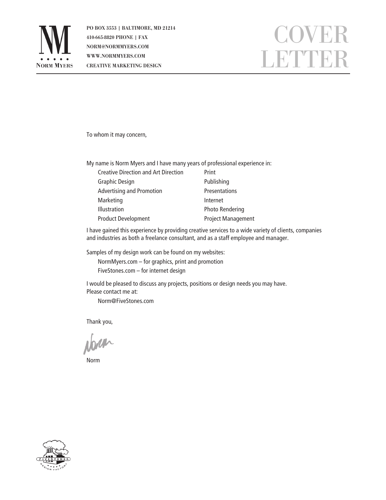

PO BOX 3553 | BALTIMORE, MD 21214 410-665-8820 PHONE | FAX NORM@NORMMYERS.COM WWW.NORMMYERS.COM CREATIVE MARKETING DESIGN

## COVER LETTER

To whom it may concern,

My name is Norm Myers and I have many years of professional experience in:

| <b>Creative Direction and Art Direction</b> | Print                     |
|---------------------------------------------|---------------------------|
| <b>Graphic Design</b>                       | Publishing                |
| <b>Advertising and Promotion</b>            | <b>Presentations</b>      |
| Marketing                                   | Internet                  |
| <b>Illustration</b>                         | <b>Photo Rendering</b>    |
| <b>Product Development</b>                  | <b>Project Management</b> |

I have gained this experience by providing creative services to a wide variety of clients, companies and industries as both a freelance consultant, and as a staff employee and manager.

Samples of my design work can be found on my websites:

NormMyers.com – for graphics, print and promotion FiveStones.com – for internet design

I would be pleased to discuss any projects, positions or design needs you may have. Please contact me at:

Norm@FiveStones.com

Thank you,

Norm

Norm

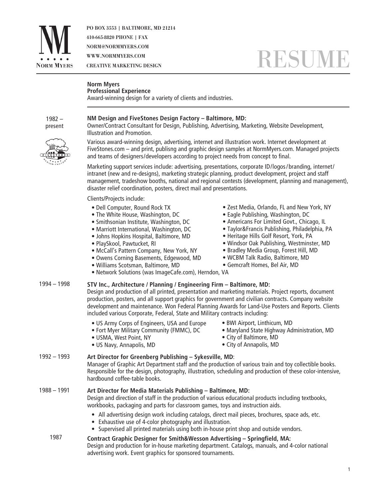

PO BOX 3553 | BALTIMORE, MD 21214 410-665-8820 PHONE | FAX NORM@NORMMYERS.COM WWW.NORMMYERS.COM CREATIVE MARKETING DESIGN

# **RESUM**

#### **Norm Myers Professional Experience**

Award-winning design for a variety of clients and industries.

1982 – present



Owner/Contract Consultant for Design, Publishing, Advertising, Marketing, Website Development, Illustration and Promotion.

Various award-winning design, advertising, internet and illustration work. Internet development at FiveStones.com – and print, publisng and graphic design samples at NormMyers.com. Managed projects and teams of designers/developers according to project needs from concept to final.

Marketing support services include: advertising, presentations, corporate ID/logos /branding, internet/ intranet (new and re-designs), marketing strategic planning, product development, project and staff management, tradeshow booths, national and regional contests (development, planning and management), disaster relief coordination, posters, direct mail and presentations.

Clients/Projects include:

- Dell Computer, Round Rock TX
- The White House, Washington, DC
- Smithsonian Institute, Washington, DC
- Marriott International, Washington, DC
- Johns Hopkins Hospital, Baltimore, MD
- PlaySkool, Pawtucket, RI
- McCall's Pattern Company, New York, NY
- Owens Corning Basements, Edgewood, MD
- Williams Scotsman, Baltimore, MD
- Zest Media, Orlando, FL and New York, NY
- Eagle Publishing, Washington, DC
- Americans For Limited Govt., Chicago, IL
- Taylor&Francis Publishing, Philadelphia, PA
- Heritage Hills Golf Resort, York, PA
- Windsor Oak Publishing, Westminster, MD
- Bradley Media Group, Forest Hill, MD
- WCBM Talk Radio, Baltimore, MD
- Gemcraft Homes, Bel Air, MD
- Network Solutions (was ImageCafe.com), Herndon, VA
- **STV Inc., Architecture / Planning / Engineering Firm Baltimore, MD:** 1994 – 1998

Design and production of all printed, presentation and marketing materials. Project reports, document production, posters, and all support graphics for government and civilian contracts. Company website development and maintenance. Won Federal Planning Awards for Land-Use Posters and Reports. Clients included various Corporate, Federal, State and Military contracts including:

- US Army Corps of Engineers, USA and Europe
- Fort Myer Military Community (FMMC), DC
- USMA, West Point, NY
- US Navy, Annapolis, MD
- BWI Airport, Linthicum, MD
- Maryland State Highway Administration, MD
- City of Baltimore, MD
- City of Annapolis, MD

#### **Art Director for Greenberg Publishing – Sykesville, MD**: 1992 – 1993

Manager of Graphic Art Department staff and the production of various train and toy collectible books. Responsible for the design, photography, illustration, scheduling and production of these color-intensive, hardbound coffee-table books.

#### **Art Director for Media Materials Publishing – Baltimore, MD:** 1988 – 1991

Design and direction of staff in the production of various educational products including textbooks, workbooks, packaging and parts for classroom games, toys and instruction aids.

- All advertising design work including catalogs, direct mail pieces, brochures, space ads, etc.
- Exhaustive use of 4-color photography and illustration.
- Supervised all printed materials using both in-house print shop and outside vendors.

#### **Contract Graphic Designer for Smith&Wesson Advertising – Springfield, MA:** Design and production for in-house marketing department. Catalogs, manuals, and 4-color national advertising work. Event graphics for sponsored tournaments. 1987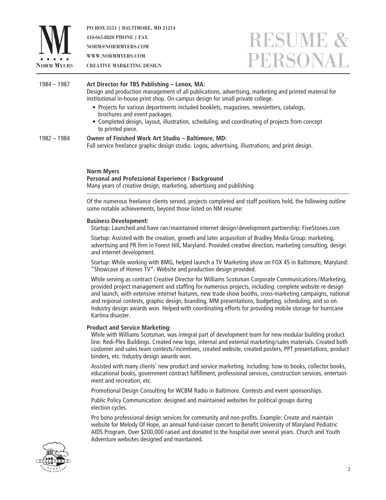

PO BOX 3553 | BALTIMORE, MD 21214 410-665-8820 PHONE | FAX NORM@NORMMYERS.COM WWW.NORMMYERS.COM CREATIVE MARKETING DESIGN

### RESUME & PERSONA

#### 1982 – 1984 1984 – 1987 **Art Director for TBS Publishing – Lenox, MA:** Design and production management of all publications, advertising, marketing and printed material for institutional in-house print shop. On-campus design for small private college. • Projects for various departments included booklets, magazines, newsletters, catalogs, brochures and event packages. • Completed design, layout, illustration, scheduling, and coordinating of projects from concept to printed piece. **Owner of Finished Work Art Studio – Baltimore, MD:**

Full service freelance graphic design studio. Logos, advertising, illustrations, and print design.

#### **Norm Myers**

#### **Personal and Professional Experience / Background**

Many years of creative design, marketing, advertising and publishing.

Of the numerous freelance clients served, projects completed and staff positions held, the following outline some notable achievements, beyond those listed on NM resume:

#### **Business Development:**

Startup: Launched and have ran / maintained internet design / development partnership: FiveStones.com

Startup: Assisted with the creation, growth and later acquisition of Bradley Media Group: marketing, advertising and PR firm in Forest Hill, Maryland. Provided creative direction, marketing consulting, design and internet development.

Startup: While working with BMG, helped launch a TV Marketing show on FOX 45 in Baltimore, Maryland: "Showcase of Homes TV". Website and production design provided.

While serving as contract Creative Director for Williams Scotsman Corporate Communications / Marketing, provided project management and staffing for numerous projects, including: complete website re-design and launch, with extensive internet features, new trade show booths, cross-marketing campaigns, national and regional contests, graphic design, branding, MM presentations, budgeting, scheduling, and so on. Industry design awards won. Helped with coordinating efforts for providing mobile storage for hurricane Kartina disaster.

#### **Product and Service Marketing:**

While with Williams Scotsman, was integral part of development team for new modular building product line: Redi-Plex Buildings. Created new logo, internal and external marketing / sales materials. Created both customer and sales team contests / incentives, created website, created posters, PPT presentations, product binders, etc. Industry design awards won.

Assisted with many clients' new product and service marketing, including: how-to books, collector books, educational books, government contract fulfillment, professional services, construction services, entertainment and recreation, etc.

Promotional Design Consulting for WCBM Radio in Baltimore. Contests and event sponsorships.

Public Policy Communication: designed and maintained websites for political groups during election cycles.

Pro bono professional design services for community and non-profits. Example: Create and maintain website for Melody Of Hope, an annual fund-raiser concert to Benefit University of Maryland Pediatric AIDS Program. Over \$200,000 raised and donated to the hospital over several years. Church and Youth Adventure websites designed and maintained.

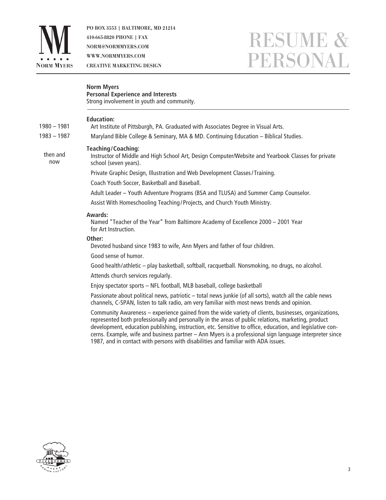

1980 – 1981 1983 – 1987

> then and now

PO BOX 3553 | BALTIMORE, MD 21214 410-665-8820 PHONE | FAX NORM@NORMMYERS.COM WWW.NORMMYERS.COM CREATIVE MARKETING DESIGN

## RESUME & PERSONAL

| <b>Norm Myers</b><br><b>Personal Experience and Interests</b><br>Strong involvement in youth and community.                                                                                            |  |
|--------------------------------------------------------------------------------------------------------------------------------------------------------------------------------------------------------|--|
| <b>Education:</b><br>Art Institute of Pittsburgh, PA. Graduated with Associates Degree in Visual Arts.                                                                                                 |  |
| Maryland Bible College & Seminary, MA & MD. Continuing Education - Biblical Studies.                                                                                                                   |  |
| <b>Teaching/Coaching:</b><br>Instructor of Middle and High School Art, Design Computer/Website and Yearbook Classes for private<br>school (seven years).                                               |  |
| Private Graphic Design, Illustration and Web Development Classes/Training.                                                                                                                             |  |
| Coach Youth Soccer, Basketball and Baseball.                                                                                                                                                           |  |
| Adult Leader - Youth Adventure Programs (BSA and TLUSA) and Summer Camp Counselor.                                                                                                                     |  |
| Assist With Homeschooling Teaching/Projects, and Church Youth Ministry.                                                                                                                                |  |
| Awards:<br>Named "Teacher of the Year" from Baltimore Academy of Excellence 2000 - 2001 Year<br>for Art Instruction.                                                                                   |  |
| Other:                                                                                                                                                                                                 |  |
| Devoted husband since 1983 to wife, Ann Myers and father of four children.                                                                                                                             |  |
| Good sense of humor.                                                                                                                                                                                   |  |
| Good health/athletic - play basketball, softball, racquetball. Nonsmoking, no drugs, no alcohol.                                                                                                       |  |
| Attends church services regularly.                                                                                                                                                                     |  |
| Enjoy spectator sports - NFL football, MLB baseball, college basketball                                                                                                                                |  |
| Passionate about political news, patriotic - total news junkie (of all sorts), watch all the cable news<br>channels, C-SPAN, listen to talk radio, am very familiar with most news trends and opinion. |  |
| Community Awareness – experience gained from the wide variety of clients husinesses, organizations                                                                                                     |  |

Community Awareness – experience gained from the wide variety of clients, businesses, organizations, represented both professionally and personally in the areas of public relations, marketing, product development, education publishing, instruction, etc. Sensitive to office, education, and legislative concerns. Example, wife and business partner – Ann Myers is a professional sign language interpreter since 1987, and in contact with persons with disabilities and familiar with ADA issues.